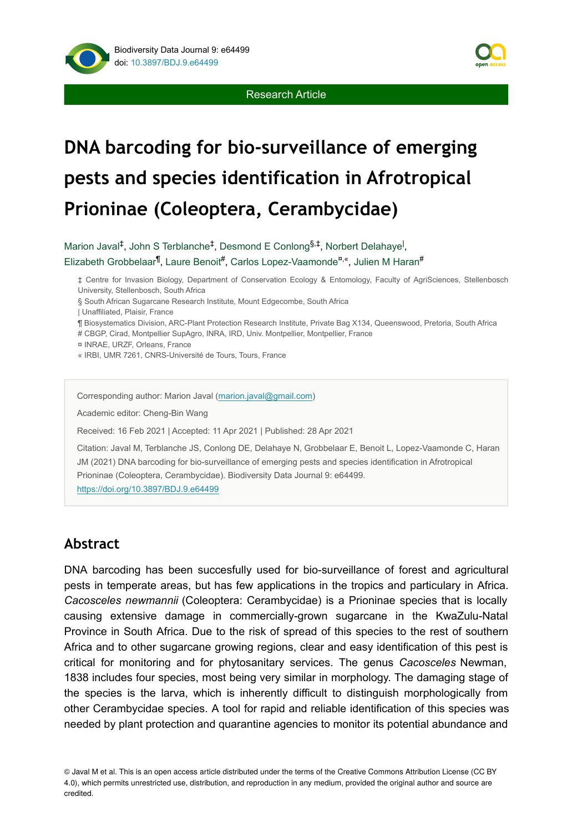



# **DNA barcoding for bio-surveillance of emerging pests and species identification in Afrotropical Prioninae (Coleoptera, Cerambycidae)**

Marion Javal<sup>‡</sup>, John S Terblanche<sup>‡</sup>, Desmond E Conlong<sup>§,‡</sup>, Norbert Delahaye<sup>l</sup>, Elizabeth Grobbelaar<sup>¶</sup>, Laure Benoit<sup>#</sup>, Carlos Lopez-Vaamonde<sup>¤,«</sup>, Julien M Haran<sup>#</sup>

‡ Centre for Invasion Biology, Department of Conservation Ecology & Entomology, Faculty of AgriSciences, Stellenbosch University, Stellenbosch, South Africa

§ South African Sugarcane Research Institute, Mount Edgecombe, South Africa

| Unaffiliated, Plaisir, France

¶ Biosystematics Division, ARC-Plant Protection Research Institute, Private Bag X134, Queenswood, Pretoria, South Africa

# CBGP, Cirad, Montpellier SupAgro, INRA, IRD, Univ. Montpellier, Montpellier, France

¤ INRAE, URZF, Orleans, France

« IRBI, UMR 7261, CNRS-Université de Tours, Tours, France

Corresponding author: Marion Javal [\(marion.javal@gmail.com](mailto:marion.javal@gmail.com))

Academic editor: Cheng-Bin Wang

Received: 16 Feb 2021 | Accepted: 11 Apr 2021 | Published: 28 Apr 2021

Citation: Javal M, Terblanche JS, Conlong DE, Delahaye N, Grobbelaar E, Benoit L, Lopez-Vaamonde C, Haran JM (2021) DNA barcoding for bio-surveillance of emerging pests and species identification in Afrotropical Prioninae (Coleoptera, Cerambycidae). Biodiversity Data Journal 9: e64499.

<https://doi.org/10.3897/BDJ.9.e64499>

# **Abstract**

DNA barcoding has been succesfully used for bio-surveillance of forest and agricultural pests in temperate areas, but has few applications in the tropics and particulary in Africa. *Cacosceles newmannii* (Coleoptera: Cerambycidae) is a Prioninae species that is locally causing extensive damage in commercially-grown sugarcane in the KwaZulu-Natal Province in South Africa. Due to the risk of spread of this species to the rest of southern Africa and to other sugarcane growing regions, clear and easy identification of this pest is critical for monitoring and for phytosanitary services. The genus *Cacosceles* Newman, 1838 includes four species, most being very similar in morphology. The damaging stage of the species is the larva, which is inherently difficult to distinguish morphologically from other Cerambycidae species. A tool for rapid and reliable identification of this species was needed by plant protection and quarantine agencies to monitor its potential abundance and

© Javal M et al. This is an open access article distributed under the terms of the Creative Commons Attribution License (CC BY 4.0), which permits unrestricted use, distribution, and reproduction in any medium, provided the original author and source are credited.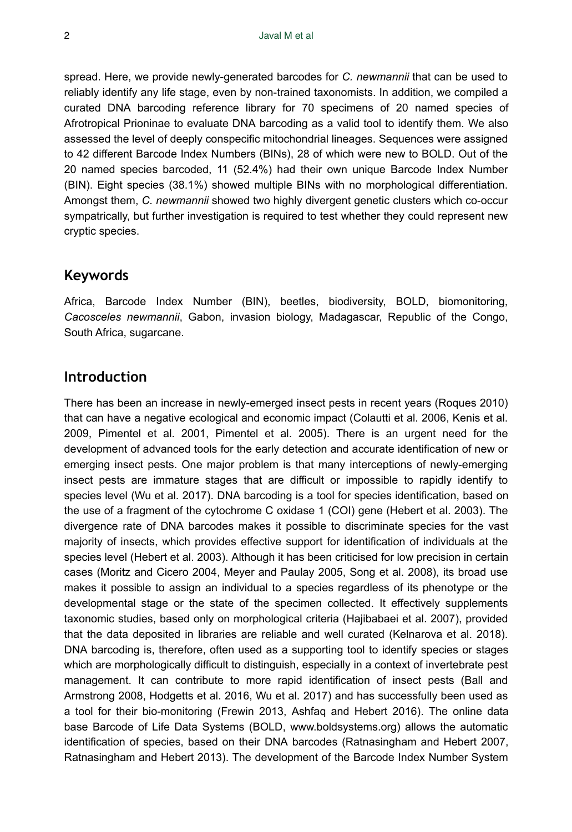spread. Here, we provide newly-generated barcodes for *C. newmannii* that can be used to reliably identify any life stage, even by non-trained taxonomists. In addition, we compiled a curated DNA barcoding reference library for 70 specimens of 20 named species of Afrotropical Prioninae to evaluate DNA barcoding as a valid tool to identify them. We also assessed the level of deeply conspecific mitochondrial lineages. Sequences were assigned to 42 different Barcode Index Numbers (BINs), 28 of which were new to BOLD. Out of the 20 named species barcoded, 11 (52.4%) had their own unique Barcode Index Number (BIN). Eight species (38.1%) showed multiple BINs with no morphological differentiation. Amongst them, *C. newmannii* showed two highly divergent genetic clusters which co-occur sympatrically, but further investigation is required to test whether they could represent new cryptic species.

### **Keywords**

Africa, Barcode Index Number (BIN), beetles, biodiversity, BOLD, biomonitoring, *Cacosceles newmannii*, Gabon, invasion biology, Madagascar, Republic of the Congo, South Africa, sugarcane.

### **Introduction**

There has been an increase in newly-emerged insect pests in recent years (Roques 2010) that can have a negative ecological and economic impact (Colautti et al. 2006, Kenis et al. 2009, Pimentel et al. 2001, Pimentel et al. 2005). There is an urgent need for the development of advanced tools for the early detection and accurate identification of new or emerging insect pests. One major problem is that many interceptions of newly-emerging insect pests are immature stages that are difficult or impossible to rapidly identify to species level (Wu et al. 2017). DNA barcoding is a tool for species identification, based on the use of a fragment of the cytochrome C oxidase 1 (COI) gene (Hebert et al. 2003). The divergence rate of DNA barcodes makes it possible to discriminate species for the vast majority of insects, which provides effective support for identification of individuals at the species level (Hebert et al. 2003). Although it has been criticised for low precision in certain cases (Moritz and Cicero 2004, Meyer and Paulay 2005, Song et al. 2008), its broad use makes it possible to assign an individual to a species regardless of its phenotype or the developmental stage or the state of the specimen collected. It effectively supplements taxonomic studies, based only on morphological criteria (Hajibabaei et al. 2007), provided that the data deposited in libraries are reliable and well curated (Kelnarova et al. 2018). DNA barcoding is, therefore, often used as a supporting tool to identify species or stages which are morphologically difficult to distinguish, especially in a context of invertebrate pest management. It can contribute to more rapid identification of insect pests (Ball and Armstrong 2008, Hodgetts et al. 2016, Wu et al. 2017) and has successfully been used as a tool for their bio-monitoring (Frewin 2013, Ashfaq and Hebert 2016). The online data base Barcode of Life Data Systems (BOLD, www.boldsystems.org) allows the automatic identification of species, based on their DNA barcodes (Ratnasingham and Hebert 2007, Ratnasingham and Hebert 2013). The development of the Barcode Index Number System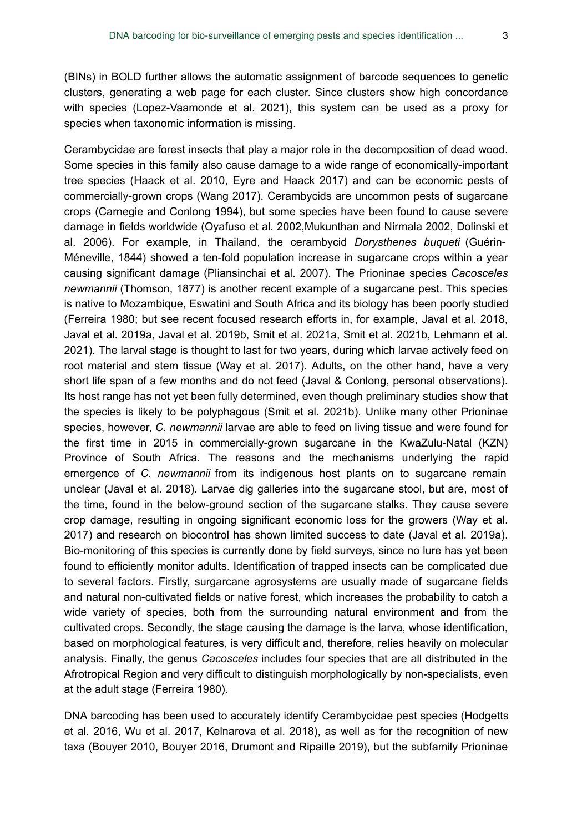(BINs) in BOLD further allows the automatic assignment of barcode sequences to genetic clusters, generating a web page for each cluster. Since clusters show high concordance with species (Lopez-Vaamonde et al. 2021), this system can be used as a proxy for species when taxonomic information is missing.

Cerambycidae are forest insects that play a major role in the decomposition of dead wood. Some species in this family also cause damage to a wide range of economically-important tree species (Haack et al. 2010, Eyre and Haack 2017) and can be economic pests of commercially-grown crops (Wang 2017). Cerambycids are uncommon pests of sugarcane crops (Carnegie and Conlong 1994), but some species have been found to cause severe damage in fields worldwide (Oyafuso et al. 2002,Mukunthan and Nirmala 2002, Dolinski et al. 2006). For example, in Thailand, the cerambycid *Dorysthenes buqueti* (Guérin-Méneville, 1844) showed a ten-fold population increase in sugarcane crops within a year causing significant damage (Pliansinchai et al. 2007). The Prioninae species *Cacosceles newmannii* (Thomson, 1877) is another recent example of a sugarcane pest. This species is native to Mozambique, Eswatini and South Africa and its biology has been poorly studied (Ferreira 1980; but see recent focused research efforts in, for example, Javal et al. 2018, Javal et al. 2019a, Javal et al. 2019b, Smit et al. 2021a, Smit et al. 2021b, Lehmann et al. 2021). The larval stage is thought to last for two years, during which larvae actively feed on root material and stem tissue (Way et al. 2017). Adults, on the other hand, have a very short life span of a few months and do not feed (Javal & Conlong, personal observations). Its host range has not yet been fully determined, even though preliminary studies show that the species is likely to be polyphagous (Smit et al. 2021b). Unlike many other Prioninae species, however, *C. newmannii* larvae are able to feed on living tissue and were found for the first time in 2015 in commercially-grown sugarcane in the KwaZulu-Natal (KZN) Province of South Africa. The reasons and the mechanisms underlying the rapid emergence of *C. newmannii* from its indigenous host plants on to sugarcane remain unclear (Javal et al. 2018). Larvae dig galleries into the sugarcane stool, but are, most of the time, found in the below-ground section of the sugarcane stalks. They cause severe crop damage, resulting in ongoing significant economic loss for the growers (Way et al. 2017) and research on biocontrol has shown limited success to date (Javal et al. 2019a). Bio-monitoring of this species is currently done by field surveys, since no lure has yet been found to efficiently monitor adults. Identification of trapped insects can be complicated due to several factors. Firstly, surgarcane agrosystems are usually made of sugarcane fields and natural non-cultivated fields or native forest, which increases the probability to catch a wide variety of species, both from the surrounding natural environment and from the cultivated crops. Secondly, the stage causing the damage is the larva, whose identification, based on morphological features, is very difficult and, therefore, relies heavily on molecular analysis. Finally, the genus *Cacosceles* includes four species that are all distributed in the Afrotropical Region and very difficult to distinguish morphologically by non-specialists, even at the adult stage (Ferreira 1980).

DNA barcoding has been used to accurately identify Cerambycidae pest species (Hodgetts et al. 2016, Wu et al. 2017, Kelnarova et al. 2018), as well as for the recognition of new taxa (Bouyer 2010, Bouyer 2016, Drumont and Ripaille 2019), but the subfamily Prioninae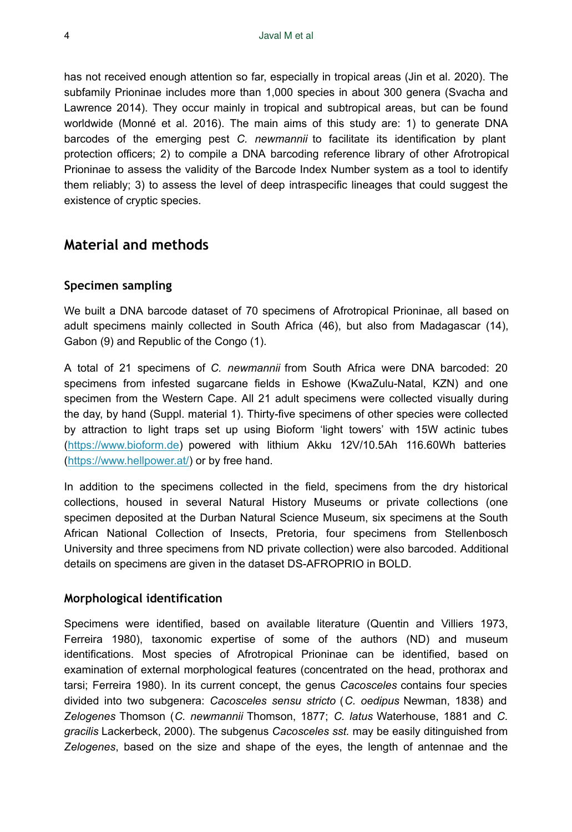has not received enough attention so far, especially in tropical areas (Jin et al. 2020). The subfamily Prioninae includes more than 1,000 species in about 300 genera (Svacha and Lawrence 2014). They occur mainly in tropical and subtropical areas, but can be found worldwide (Monné et al. 2016). The main aims of this study are: 1) to generate DNA barcodes of the emerging pest *C. newmannii* to facilitate its identification by plant protection officers; 2) to compile a DNA barcoding reference library of other Afrotropical Prioninae to assess the validity of the Barcode Index Number system as a tool to identify them reliably; 3) to assess the level of deep intraspecific lineages that could suggest the existence of cryptic species.

### **Material and methods**

### **Specimen sampling**

We built a DNA barcode dataset of 70 specimens of Afrotropical Prioninae, all based on adult specimens mainly collected in South Africa (46), but also from Madagascar (14), Gabon (9) and Republic of the Congo (1).

A total of 21 specimens of *C. newmannii* from South Africa were DNA barcoded: 20 specimens from infested sugarcane fields in Eshowe (KwaZulu-Natal, KZN) and one specimen from the Western Cape. All 21 adult specimens were collected visually during the day, by hand (Suppl. material 1). Thirty-five specimens of other species were collected by attraction to light traps set up using Bioform 'light towers' with 15W actinic tubes [\(https://www.bioform.de](https://www.bioform.de)) powered with lithium Akku 12V/10.5Ah 116.60Wh batteries [\(https://www.hellpower.at/](https://www.hellpower.at/)) or by free hand.

In addition to the specimens collected in the field, specimens from the dry historical collections, housed in several Natural History Museums or private collections (one specimen deposited at the Durban Natural Science Museum, six specimens at the South African National Collection of Insects, Pretoria, four specimens from Stellenbosch University and three specimens from ND private collection) were also barcoded. Additional details on specimens are given in the dataset DS-AFROPRIO in BOLD.

#### **Morphological identification**

Specimens were identified, based on available literature (Quentin and Villiers 1973, Ferreira 1980), taxonomic expertise of some of the authors (ND) and museum identifications. Most species of Afrotropical Prioninae can be identified, based on examination of external morphological features (concentrated on the head, prothorax and tarsi; Ferreira 1980). In its current concept, the genus *Cacosceles* contains four species divided into two subgenera: *Cacosceles sensu stricto* (*C. oedipus* Newman, 1838) and *Zelogenes* Thomson (*C. newmannii* Thomson, 1877; *C. latus* Waterhouse, 1881 and *C. gracilis* Lackerbeck, 2000). The subgenus *Cacosceles sst.* may be easily ditinguished from *Zelogenes*, based on the size and shape of the eyes, the length of antennae and the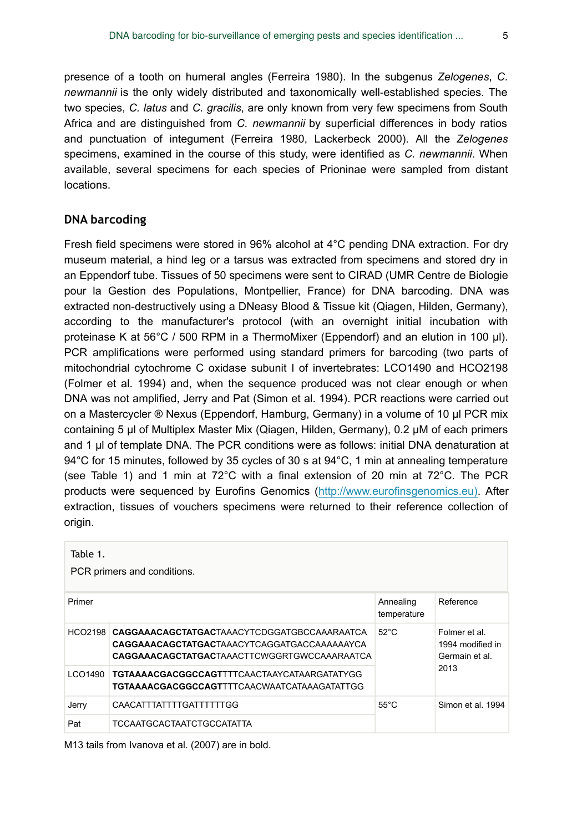presence of a tooth on humeral angles (Ferreira 1980). In the subgenus *Zelogenes*, *C. newmannii* is the only widely distributed and taxonomically well-established species. The two species, *C. latus* and *C. gracilis*, are only known from very few specimens from South Africa and are distinguished from *C. newmannii* by superficial differences in body ratios and punctuation of integument (Ferreira 1980, Lackerbeck 2000). All the *Zelogenes* specimens, examined in the course of this study, were identified as *C. newmannii*. When available, several specimens for each species of Prioninae were sampled from distant locations.

#### **DNA barcoding**

Fresh field specimens were stored in 96% alcohol at 4°C pending DNA extraction. For dry museum material, a hind leg or a tarsus was extracted from specimens and stored dry in an Eppendorf tube. Tissues of 50 specimens were sent to CIRAD (UMR Centre de Biologie pour la Gestion des Populations, Montpellier, France) for DNA barcoding. DNA was extracted non-destructively using a DNeasy Blood & Tissue kit (Qiagen, Hilden, Germany), according to the manufacturer's protocol (with an overnight initial incubation with proteinase K at 56°C / 500 RPM in a ThermoMixer (Eppendorf) and an elution in 100 µl). PCR amplifications were performed using standard primers for barcoding (two parts of mitochondrial cytochrome C oxidase subunit I of invertebrates: LCO1490 and HCO2198 (Folmer et al. 1994) and, when the sequence produced was not clear enough or when DNA was not amplified, Jerry and Pat (Simon et al. 1994). PCR reactions were carried out on a Mastercycler ® Nexus (Eppendorf, Hamburg, Germany) in a volume of 10 μl PCR mix containing 5 μl of Multiplex Master Mix (Qiagen, Hilden, Germany), 0.2 µM of each primers and 1 µl of template DNA. The PCR conditions were as follows: initial DNA denaturation at 94°C for 15 minutes, followed by 35 cycles of 30 s at 94°C, 1 min at annealing temperature (see Table 1) and 1 min at 72°C with a final extension of 20 min at 72°C. The PCR products were sequenced by Eurofins Genomics [\(http://www.eurofinsgenomics.eu\)](http://www.eurofinsgenomics.eu/)). After extraction, tissues of vouchers specimens were returned to their reference collection of origin.

| Table 1.<br>PCR primers and conditions. |                                                                                                                                                                   |                          |                                                            |  |  |  |  |  |
|-----------------------------------------|-------------------------------------------------------------------------------------------------------------------------------------------------------------------|--------------------------|------------------------------------------------------------|--|--|--|--|--|
| Primer                                  |                                                                                                                                                                   | Annealing<br>temperature | Reference                                                  |  |  |  |  |  |
|                                         | HCO2198 CAGGAAACAGCTATGACTAAACYTCDGGATGBCCAAARAATCA<br><b>CAGGAAACAGCTATGAC</b> TAAACYTCAGGATGACCAAAAAAYCA<br><b>CAGGAAACAGCTATGAC</b> TAAACTTCWGGRTGWCCAAARAATCA | $52^{\circ}$ C           | Folmer et al<br>1994 modified in<br>Germain et al.<br>2013 |  |  |  |  |  |
| LCO1490                                 | <b>TGTAAAACGACGGCCAGT</b> TTTCAACTAAYCATAARGATATYGG<br><b>TGTAAAACGACGGCCAGT</b> TTTCAACWAATCATAAAGATATTGG                                                        |                          |                                                            |  |  |  |  |  |
| Jerry                                   | CAACATTTATTTTGATTTTTTGG                                                                                                                                           | $55^{\circ}$ C           | Simon et al. 1994                                          |  |  |  |  |  |
| Pat                                     | <b>TCCAATGCACTAATCTGCCATATTA</b>                                                                                                                                  |                          |                                                            |  |  |  |  |  |

M13 tails from Ivanova et al. (2007) are in bold.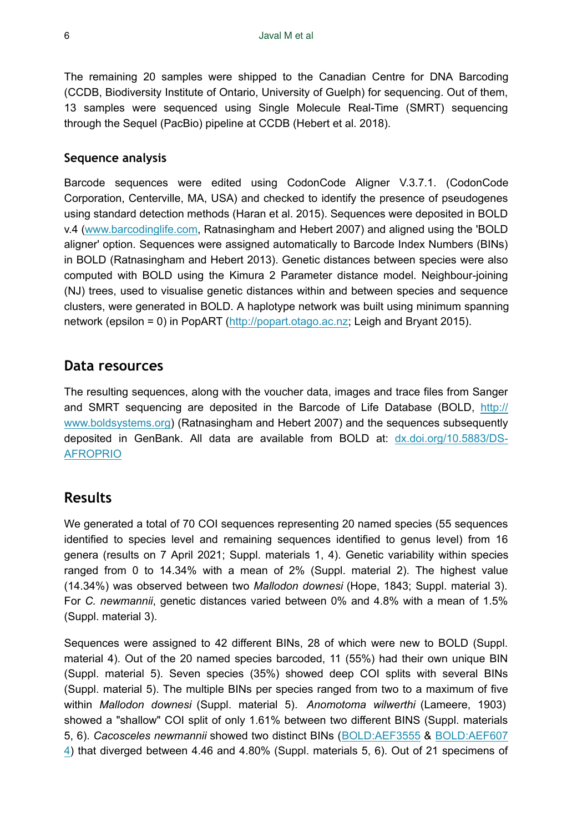The remaining 20 samples were shipped to the Canadian Centre for DNA Barcoding (CCDB, Biodiversity Institute of Ontario, University of Guelph) for sequencing. Out of them, 13 samples were sequenced using Single Molecule Real-Time (SMRT) sequencing through the Sequel (PacBio) pipeline at CCDB (Hebert et al. 2018).

#### **Sequence analysis**

Barcode sequences were edited using CodonCode Aligner V.3.7.1. (CodonCode Corporation, Centerville, MA, USA) and checked to identify the presence of pseudogenes using standard detection methods (Haran et al. 2015). Sequences were deposited in BOLD v.4 [\(www.barcodinglife.com](http://www.barcodinglife.com), Ratnasingham and Hebert 2007) and aligned using the 'BOLD aligner' option. Sequences were assigned automatically to Barcode Index Numbers (BINs) in BOLD (Ratnasingham and Hebert 2013). Genetic distances between species were also computed with BOLD using the Kimura 2 Parameter distance model. Neighbour-joining (NJ) trees, used to visualise genetic distances within and between species and sequence clusters, were generated in BOLD. A haplotype network was built using minimum spanning network (epsilon = 0) in PopART [\(http://popart.otago.ac.nz](http://popart.otago.ac.nz); Leigh and Bryant 2015).

### **Data resources**

The resulting sequences, along with the voucher data, images and trace files from Sanger and SMRT sequencing are deposited in the Barcode of Life Database (BOLD, [http://](http://www.boldsystems.org) [www.boldsystems.org](http://www.boldsystems.org)) (Ratnasingham and Hebert 2007) and the sequences subsequently deposited in GenBank. All data are available from BOLD at: [dx.doi.org/10.5883/DS-](http://dx.doi.org/10.5883/DS-AFROPRIO)[AFROPRIO](http://dx.doi.org/10.5883/DS-AFROPRIO)

### **Results**

We generated a total of 70 COI sequences representing 20 named species (55 sequences identified to species level and remaining sequences identified to genus level) from 16 genera (results on 7 April 2021; Suppl. materials 1, 4). Genetic variability within species ranged from 0 to 14.34% with a mean of 2% (Suppl. material 2). The highest value (14.34%) was observed between two *Mallodon downesi* (Hope, 1843; Suppl. material 3). For *C. newmannii*, genetic distances varied between 0% and 4.8% with a mean of 1.5% (Suppl. material 3).

Sequences were assigned to 42 different BINs, 28 of which were new to BOLD (Suppl. material 4). Out of the 20 named species barcoded, 11 (55%) had their own unique BIN (Suppl. material 5). Seven species (35%) showed deep COI splits with several BINs (Suppl. material 5). The multiple BINs per species ranged from two to a maximum of five within *Mallodon downesi* (Suppl. material 5). *Anomotoma wilwerthi* (Lameere, 1903) showed a "shallow" COI split of only 1.61% between two different BINS (Suppl. materials 5, 6). *Cacosceles newmannii* showed two distinct BINs ([BOLD:AEF3555](http://boldsystems.org/index.php/Public_BarcodeCluster?clusteruri=BOLD:AEF3555) & [BOLD:AEF607](http://boldsystems.org/index.php/Public_BarcodeCluster?clusteruri=BOLD:AEF6074) [4](http://boldsystems.org/index.php/Public_BarcodeCluster?clusteruri=BOLD:AEF6074)) that diverged between 4.46 and 4.80% (Suppl. materials 5, 6). Out of 21 specimens of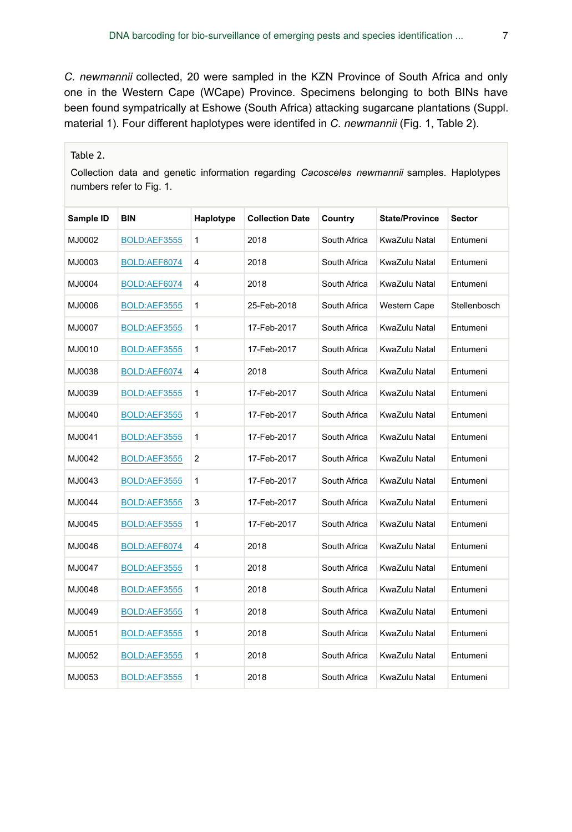*C. newmannii* collected, 20 were sampled in the KZN Province of South Africa and only one in the Western Cape (WCape) Province. Specimens belonging to both BINs have been found sympatrically at Eshowe (South Africa) attacking sugarcane plantations (Suppl. material 1). Four different haplotypes were identifed in *C. newmannii* (Fig. 1, Table 2).

### Table 2.

Collection data and genetic information regarding *Cacosceles newmannii* samples. Haplotypes numbers refer to Fig. 1.

| Sample ID | BIN          | Haplotype    | <b>Collection Date</b> | Country      | <b>State/Province</b> | <b>Sector</b> |
|-----------|--------------|--------------|------------------------|--------------|-----------------------|---------------|
| MJ0002    | BOLD:AEF3555 | 1            | 2018                   | South Africa | KwaZulu Natal         | Entumeni      |
| MJ0003    | BOLD:AEF6074 | 4            | 2018                   | South Africa | KwaZulu Natal         | Entumeni      |
| MJ0004    | BOLD:AEF6074 | 4            | 2018                   | South Africa | KwaZulu Natal         | Entumeni      |
| MJ0006    | BOLD:AEF3555 | 1            | 25-Feb-2018            | South Africa | Western Cape          | Stellenbosch  |
| MJ0007    | BOLD:AEF3555 | 1            | 17-Feb-2017            | South Africa | KwaZulu Natal         | Entumeni      |
| MJ0010    | BOLD:AEF3555 | 1            | 17-Feb-2017            | South Africa | KwaZulu Natal         | Entumeni      |
| MJ0038    | BOLD:AEF6074 | 4            | 2018                   | South Africa | KwaZulu Natal         | Entumeni      |
| MJ0039    | BOLD:AEF3555 | 1            | 17-Feb-2017            | South Africa | KwaZulu Natal         | Entumeni      |
| MJ0040    | BOLD:AEF3555 | 1            | 17-Feb-2017            | South Africa | KwaZulu Natal         | Entumeni      |
| MJ0041    | BOLD:AEF3555 | 1            | 17-Feb-2017            | South Africa | KwaZulu Natal         | Entumeni      |
| MJ0042    | BOLD:AEF3555 | 2            | 17-Feb-2017            | South Africa | KwaZulu Natal         | Entumeni      |
| MJ0043    | BOLD:AEF3555 | $\mathbf{1}$ | 17-Feb-2017            | South Africa | KwaZulu Natal         | Entumeni      |
| MJ0044    | BOLD:AEF3555 | 3            | 17-Feb-2017            | South Africa | KwaZulu Natal         | Entumeni      |
| MJ0045    | BOLD:AEF3555 | 1            | 17-Feb-2017            | South Africa | KwaZulu Natal         | Entumeni      |
| MJ0046    | BOLD:AEF6074 | 4            | 2018                   | South Africa | KwaZulu Natal         | Entumeni      |
| MJ0047    | BOLD:AEF3555 | 1            | 2018                   | South Africa | KwaZulu Natal         | Entumeni      |
| MJ0048    | BOLD:AEF3555 | $\mathbf{1}$ | 2018                   | South Africa | KwaZulu Natal         | Entumeni      |
| MJ0049    | BOLD:AEF3555 | 1            | 2018                   | South Africa | KwaZulu Natal         | Entumeni      |
| MJ0051    | BOLD:AEF3555 | 1            | 2018                   | South Africa | KwaZulu Natal         | Entumeni      |
| MJ0052    | BOLD:AEF3555 | $\mathbf{1}$ | 2018                   | South Africa | KwaZulu Natal         | Entumeni      |
| MJ0053    | BOLD:AEF3555 | 1            | 2018                   | South Africa | KwaZulu Natal         | Entumeni      |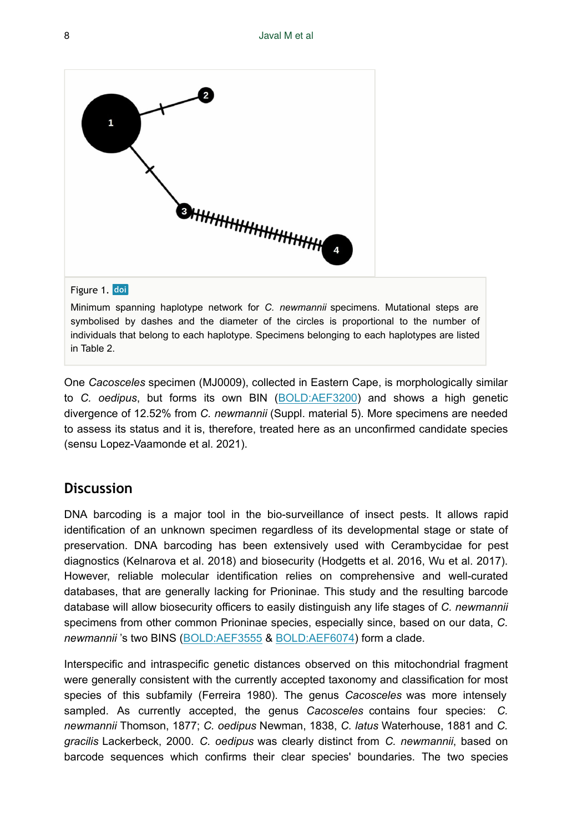

### Figure 1. doi

Minimum spanning haplotype network for *C. newmannii* specimens. Mutational steps are symbolised by dashes and the diameter of the circles is proportional to the number of individuals that belong to each haplotype. Specimens belonging to each haplotypes are listed in Table 2.

One *Cacosceles* specimen (MJ0009), collected in Eastern Cape, is morphologically similar to *C. oedipus*, but forms its own BIN [\(BOLD:AEF3200\)](http://boldsystems.org/index.php/Public_BarcodeCluster?clusteruri=BOLD:AEF3200) and shows a high genetic divergence of 12.52% from *C. newmannii* (Suppl. material 5). More specimens are needed to assess its status and it is, therefore, treated here as an unconfirmed candidate species (sensu Lopez-Vaamonde et al. 2021).

### **Discussion**

DNA barcoding is a major tool in the bio-surveillance of insect pests. It allows rapid identification of an unknown specimen regardless of its developmental stage or state of preservation. DNA barcoding has been extensively used with Cerambycidae for pest diagnostics (Kelnarova et al. 2018) and biosecurity (Hodgetts et al. 2016, Wu et al. 2017). However, reliable molecular identification relies on comprehensive and well-curated databases, that are generally lacking for Prioninae. This study and the resulting barcode database will allow biosecurity officers to easily distinguish any life stages of *C. newmannii* specimens from other common Prioninae species, especially since, based on our data, *C. newmannii* 's two BINS ([BOLD:AEF3555](http://boldsystems.org/index.php/Public_BarcodeCluster?clusteruri=BOLD:AEF3555) & [BOLD:AEF6074\)](http://boldsystems.org/index.php/Public_BarcodeCluster?clusteruri=BOLD:AEF6074) form a clade.

Interspecific and intraspecific genetic distances observed on this mitochondrial fragment were generally consistent with the currently accepted taxonomy and classification for most species of this subfamily (Ferreira 1980). The genus *Cacosceles* was more intensely sampled. As currently accepted, the genus *Cacosceles* contains four species: *C. newmannii* Thomson, 1877; *C. oedipus* Newman, 1838, *C. latus* Waterhouse, 1881 and *C. gracilis* Lackerbeck, 2000. *C. oedipus* was clearly distinct from *C. newmannii*, based on barcode sequences which confirms their clear species' boundaries. The two species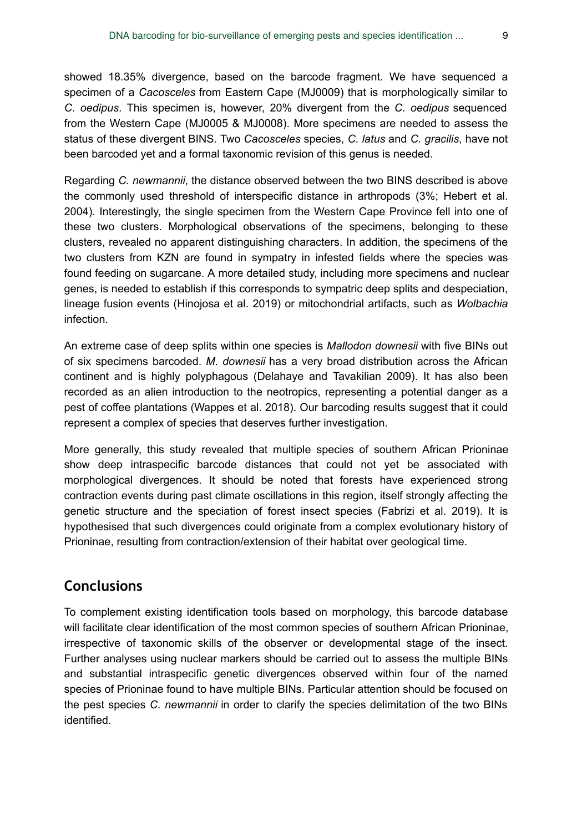showed 18.35% divergence, based on the barcode fragment. We have sequenced a specimen of a *Cacosceles* from Eastern Cape (MJ0009) that is morphologically similar to *C. oedipus*. This specimen is, however, 20% divergent from the *C. oedipus* sequenced from the Western Cape (MJ0005 & MJ0008). More specimens are needed to assess the status of these divergent BINS. Two *Cacosceles* species, *C. latus* and *C. gracilis*, have not been barcoded yet and a formal taxonomic revision of this genus is needed.

Regarding *C. newmannii*, the distance observed between the two BINS described is above the commonly used threshold of interspecific distance in arthropods (3%; Hebert et al. 2004). Interestingly, the single specimen from the Western Cape Province fell into one of these two clusters. Morphological observations of the specimens, belonging to these clusters, revealed no apparent distinguishing characters. In addition, the specimens of the two clusters from KZN are found in sympatry in infested fields where the species was found feeding on sugarcane. A more detailed study, including more specimens and nuclear genes, is needed to establish if this corresponds to sympatric deep splits and despeciation, lineage fusion events (Hinojosa et al. 2019) or mitochondrial artifacts, such as *Wolbachia* infection.

An extreme case of deep splits within one species is *Mallodon downesii* with five BINs out of six specimens barcoded. *M. downesii* has a very broad distribution across the African continent and is highly polyphagous (Delahaye and Tavakilian 2009). It has also been recorded as an alien introduction to the neotropics, representing a potential danger as a pest of coffee plantations (Wappes et al. 2018). Our barcoding results suggest that it could represent a complex of species that deserves further investigation.

More generally, this study revealed that multiple species of southern African Prioninae show deep intraspecific barcode distances that could not yet be associated with morphological divergences. It should be noted that forests have experienced strong contraction events during past climate oscillations in this region, itself strongly affecting the genetic structure and the speciation of forest insect species (Fabrizi et al. 2019). It is hypothesised that such divergences could originate from a complex evolutionary history of Prioninae, resulting from contraction/extension of their habitat over geological time.

# **Conclusions**

To complement existing identification tools based on morphology, this barcode database will facilitate clear identification of the most common species of southern African Prioninae, irrespective of taxonomic skills of the observer or developmental stage of the insect. Further analyses using nuclear markers should be carried out to assess the multiple BINs and substantial intraspecific genetic divergences observed within four of the named species of Prioninae found to have multiple BINs. Particular attention should be focused on the pest species *C. newmannii* in order to clarify the species delimitation of the two BINs identified.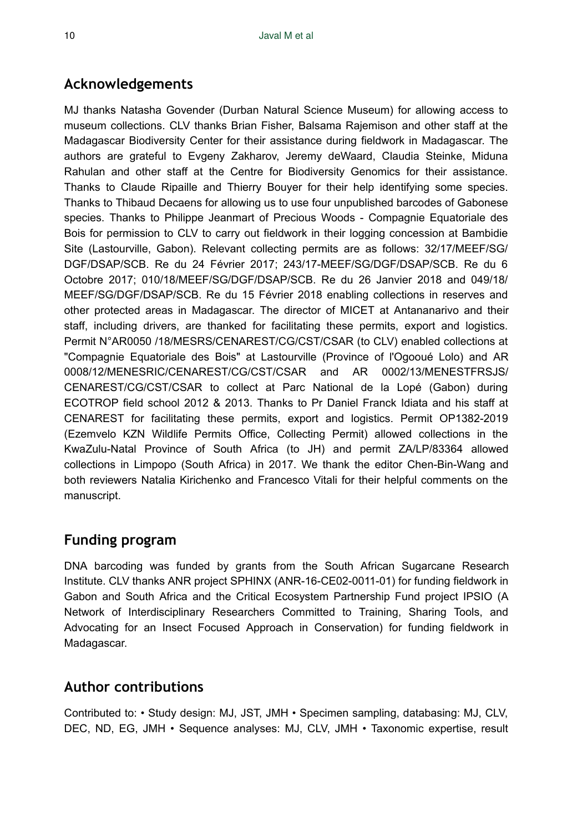# **Acknowledgements**

MJ thanks Natasha Govender (Durban Natural Science Museum) for allowing access to museum collections. CLV thanks Brian Fisher, Balsama Rajemison and other staff at the Madagascar Biodiversity Center for their assistance during fieldwork in Madagascar. The authors are grateful to Evgeny Zakharov, Jeremy deWaard, Claudia Steinke, Miduna Rahulan and other staff at the Centre for Biodiversity Genomics for their assistance. Thanks to Claude Ripaille and Thierry Bouyer for their help identifying some species. Thanks to Thibaud Decaens for allowing us to use four unpublished barcodes of Gabonese species. Thanks to Philippe Jeanmart of Precious Woods - Compagnie Equatoriale des Bois for permission to CLV to carry out fieldwork in their logging concession at Bambidie Site (Lastourville, Gabon). Relevant collecting permits are as follows: 32/17/MEEF/SG/ DGF/DSAP/SCB. Re du 24 Février 2017; 243/17-MEEF/SG/DGF/DSAP/SCB. Re du 6 Octobre 2017; 010/18/MEEF/SG/DGF/DSAP/SCB. Re du 26 Janvier 2018 and 049/18/ MEEF/SG/DGF/DSAP/SCB. Re du 15 Février 2018 enabling collections in reserves and other protected areas in Madagascar. The director of MICET at Antananarivo and their staff, including drivers, are thanked for facilitating these permits, export and logistics. Permit N°AR0050 /18/MESRS/CENAREST/CG/CST/CSAR (to CLV) enabled collections at "Compagnie Equatoriale des Bois" at Lastourville (Province of l'Ogooué Lolo) and AR 0008/12/MENESRIC/CENAREST/CG/CST/CSAR and AR 0002/13/MENESTFRSJS/ CENAREST/CG/CST/CSAR to collect at Parc National de la Lopé (Gabon) during ECOTROP field school 2012 & 2013. Thanks to Pr Daniel Franck Idiata and his staff at CENAREST for facilitating these permits, export and logistics. Permit OP1382-2019 (Ezemvelo KZN Wildlife Permits Office, Collecting Permit) allowed collections in the KwaZulu-Natal Province of South Africa (to JH) and permit ZA/LP/83364 allowed collections in Limpopo (South Africa) in 2017. We thank the editor Chen-Bin-Wang and both reviewers Natalia Kirichenko and Francesco Vitali for their helpful comments on the manuscript.

# **Funding program**

DNA barcoding was funded by grants from the South African Sugarcane Research Institute. CLV thanks ANR project SPHINX (ANR-16-CE02-0011-01) for funding fieldwork in Gabon and South Africa and the Critical Ecosystem Partnership Fund project IPSIO (A Network of Interdisciplinary Researchers Committed to Training, Sharing Tools, and Advocating for an Insect Focused Approach in Conservation) for funding fieldwork in Madagascar.

# **Author contributions**

Contributed to: • Study design: MJ, JST, JMH • Specimen sampling, databasing: MJ, CLV, DEC, ND, EG, JMH • Sequence analyses: MJ, CLV, JMH • Taxonomic expertise, result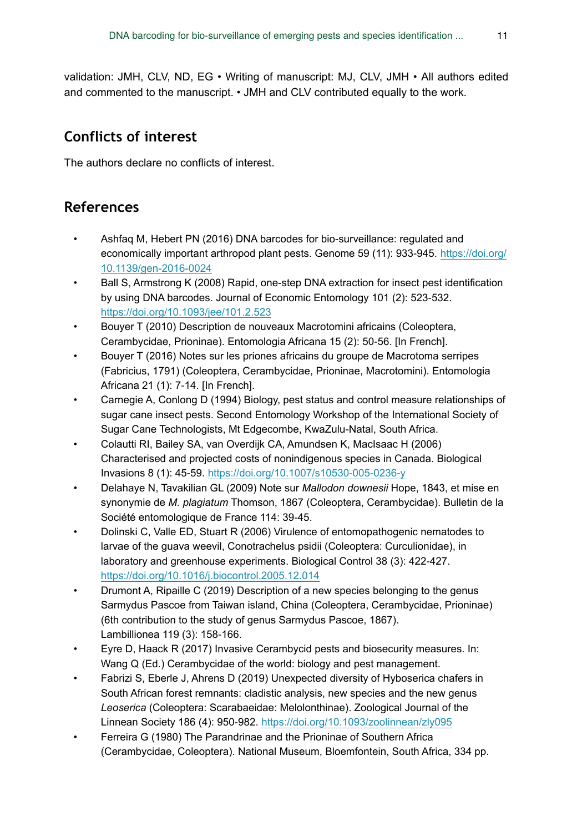validation: JMH, CLV, ND, EG • Writing of manuscript: MJ, CLV, JMH • All authors edited and commented to the manuscript. • JMH and CLV contributed equally to the work.

# **Conflicts of interest**

The authors declare no conflicts of interest.

# **References**

- Ashfaq M, Hebert PN (2016) DNA barcodes for bio-surveillance: regulated and economically important arthropod plant pests. Genome 59 (11): 933‑945. [https://doi.org/](https://doi.org/10.1139/gen-2016-0024) [10.1139/gen-2016-0024](https://doi.org/10.1139/gen-2016-0024)
- Ball S, Armstrong K (2008) Rapid, one-step DNA extraction for insect pest identification by using DNA barcodes. Journal of Economic Entomology 101 (2): 523‑532. <https://doi.org/10.1093/jee/101.2.523>
- Bouyer T (2010) Description de nouveaux Macrotomini africains (Coleoptera, Cerambycidae, Prioninae). Entomologia Africana 15 (2): 50‑56. [In French].
- Bouyer T (2016) Notes sur les priones africains du groupe de Macrotoma serripes (Fabricius, 1791) (Coleoptera, Cerambycidae, Prioninae, Macrotomini). Entomologia Africana 21 (1): 7‑14. [In French].
- Carnegie A, Conlong D (1994) Biology, pest status and control measure relationships of sugar cane insect pests. Second Entomology Workshop of the International Society of Sugar Cane Technologists, Mt Edgecombe, KwaZulu-Natal, South Africa.
- Colautti RI, Bailey SA, van Overdijk CA, Amundsen K, MacIsaac H (2006) Characterised and projected costs of nonindigenous species in Canada. Biological Invasions 8 (1): 45‑59. <https://doi.org/10.1007/s10530-005-0236-y>
- Delahaye N, Tavakilian GL (2009) Note sur *Mallodon downesii* Hope, 1843, et mise en synonymie de *M. plagiatum* Thomson, 1867 (Coleoptera, Cerambycidae). Bulletin de la Société entomologique de France 114: 39-45.
- Dolinski C, Valle ED, Stuart R (2006) Virulence of entomopathogenic nematodes to larvae of the guava weevil, Conotrachelus psidii (Coleoptera: Curculionidae), in laboratory and greenhouse experiments. Biological Control 38 (3): 422‑427. <https://doi.org/10.1016/j.biocontrol.2005.12.014>
- Drumont A, Ripaille C (2019) Description of a new species belonging to the genus Sarmydus Pascoe from Taiwan island, China (Coleoptera, Cerambycidae, Prioninae) (6th contribution to the study of genus Sarmydus Pascoe, 1867). Lambillionea 119 (3): 158‑166.
- Eyre D, Haack R (2017) Invasive Cerambycid pests and biosecurity measures. In: Wang Q (Ed.) Cerambycidae of the world: biology and pest management.
- Fabrizi S, Eberle J, Ahrens D (2019) Unexpected diversity of Hyboserica chafers in South African forest remnants: cladistic analysis, new species and the new genus *Leoserica* (Coleoptera: Scarabaeidae: Melolonthinae). Zoological Journal of the Linnean Society 186 (4): 950‑982. <https://doi.org/10.1093/zoolinnean/zly095>
- Ferreira G (1980) The Parandrinae and the Prioninae of Southern Africa (Cerambycidae, Coleoptera). National Museum, Bloemfontein, South Africa, 334 pp.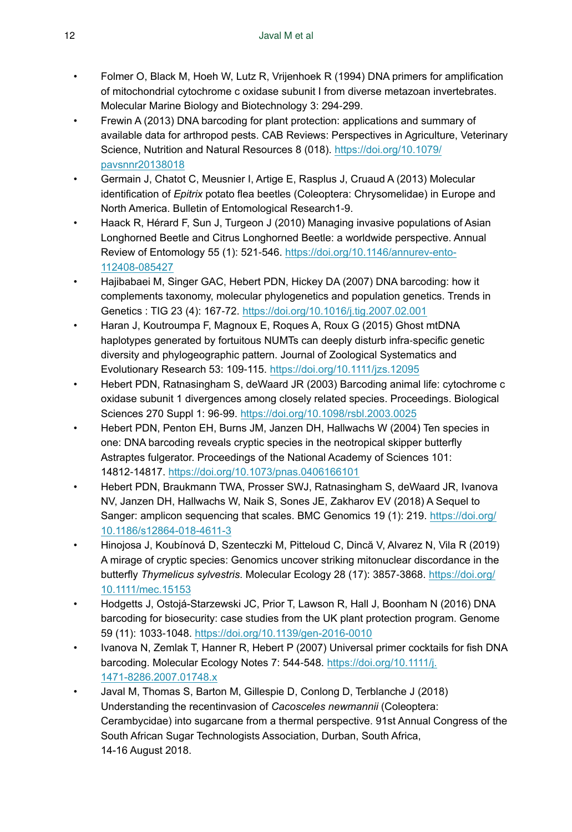- Folmer O, Black M, Hoeh W, Lutz R, Vrijenhoek R (1994) DNA primers for amplification of mitochondrial cytochrome c oxidase subunit I from diverse metazoan invertebrates. Molecular Marine Biology and Biotechnology 3: 294‑299.
- Frewin A (2013) DNA barcoding for plant protection: applications and summary of available data for arthropod pests. CAB Reviews: Perspectives in Agriculture, Veterinary Science, Nutrition and Natural Resources 8 (018). [https://doi.org/10.1079/](https://doi.org/10.1079/pavsnnr20138018) [pavsnnr20138018](https://doi.org/10.1079/pavsnnr20138018)
- Germain J, Chatot C, Meusnier I, Artige E, Rasplus J, Cruaud A (2013) Molecular identification of *Epitrix* potato flea beetles (Coleoptera: Chrysomelidae) in Europe and North America. Bulletin of Entomological Research1‑9.
- Haack R, Hérard F, Sun J, Turgeon J (2010) Managing invasive populations of Asian Longhorned Beetle and Citrus Longhorned Beetle: a worldwide perspective. Annual Review of Entomology 55 (1): 521-546. [https://doi.org/10.1146/annurev-ento-](https://doi.org/10.1146/annurev-ento-112408-085427)[112408-085427](https://doi.org/10.1146/annurev-ento-112408-085427)
- Hajibabaei M, Singer GAC, Hebert PDN, Hickey DA (2007) DNA barcoding: how it complements taxonomy, molecular phylogenetics and population genetics. Trends in Genetics : TIG 23 (4): 167‑72.<https://doi.org/10.1016/j.tig.2007.02.001>
- Haran J, Koutroumpa F, Magnoux E, Roques A, Roux G (2015) Ghost mtDNA haplotypes generated by fortuitous NUMTs can deeply disturb infra‐specific genetic diversity and phylogeographic pattern. Journal of Zoological Systematics and Evolutionary Research 53: 109‑115. <https://doi.org/10.1111/jzs.12095>
- Hebert PDN, Ratnasingham S, deWaard JR (2003) Barcoding animal life: cytochrome c oxidase subunit 1 divergences among closely related species. Proceedings. Biological Sciences 270 Suppl 1: 96‑99. <https://doi.org/10.1098/rsbl.2003.0025>
- Hebert PDN, Penton EH, Burns JM, Janzen DH, Hallwachs W (2004) Ten species in one: DNA barcoding reveals cryptic species in the neotropical skipper butterfly Astraptes fulgerator. Proceedings of the National Academy of Sciences 101: 14812‑14817. <https://doi.org/10.1073/pnas.0406166101>
- Hebert PDN, Braukmann TWA, Prosser SWJ, Ratnasingham S, deWaard JR, Ivanova NV, Janzen DH, Hallwachs W, Naik S, Sones JE, Zakharov EV (2018) A Sequel to Sanger: amplicon sequencing that scales. BMC Genomics 19 (1): 219. [https://doi.org/](https://doi.org/10.1186/s12864-018-4611-3) [10.1186/s12864-018-4611-3](https://doi.org/10.1186/s12864-018-4611-3)
- Hinojosa J, Koubínová D, Szenteczki M, Pitteloud C, Dincă V, Alvarez N, Vila R (2019) A mirage of cryptic species: Genomics uncover striking mitonuclear discordance in the butterfly *Thymelicus sylvestris*. Molecular Ecology 28 (17): 3857‑3868. [https://doi.org/](https://doi.org/10.1111/mec.15153) [10.1111/mec.15153](https://doi.org/10.1111/mec.15153)
- Hodgetts J, Ostojá-Starzewski JC, Prior T, Lawson R, Hall J, Boonham N (2016) DNA barcoding for biosecurity: case studies from the UK plant protection program. Genome 59 (11): 1033‑1048.<https://doi.org/10.1139/gen-2016-0010>
- Ivanova N, Zemlak T, Hanner R, Hebert P (2007) Universal primer cocktails for fish DNA barcoding. Molecular Ecology Notes 7: 544‑548. [https://doi.org/10.1111/j.](https://doi.org/10.1111/j.1471-8286.2007.01748.x) [1471-8286.2007.01748.x](https://doi.org/10.1111/j.1471-8286.2007.01748.x)
- Javal M, Thomas S, Barton M, Gillespie D, Conlong D, Terblanche J (2018) Understanding the recentinvasion of *Cacosceles newmannii* (Coleoptera: Cerambycidae) into sugarcane from a thermal perspective. 91st Annual Congress of the South African Sugar Technologists Association, Durban, South Africa, 14-16 August 2018.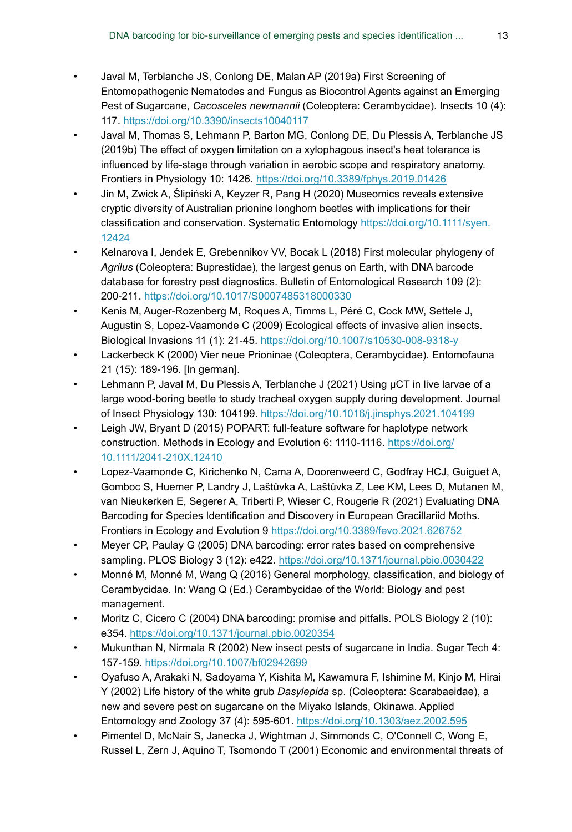- Javal M, Terblanche JS, Conlong DE, Malan AP (2019a) First Screening of Entomopathogenic Nematodes and Fungus as Biocontrol Agents against an Emerging Pest of Sugarcane, *Cacosceles newmannii* (Coleoptera: Cerambycidae). Insects 10 (4): 117. <https://doi.org/10.3390/insects10040117>
- Javal M, Thomas S, Lehmann P, Barton MG, Conlong DE, Du Plessis A, Terblanche JS (2019b) The effect of oxygen limitation on a xylophagous insect's heat tolerance is influenced by life-stage through variation in aerobic scope and respiratory anatomy. Frontiers in Physiology 10: 1426.<https://doi.org/10.3389/fphys.2019.01426>
- Jin M, Zwick A, Ślipiński A, Keyzer R, Pang H (2020) Museomics reveals extensive cryptic diversity of Australian prionine longhorn beetles with implications for their classification and conservation. Systematic Entomology [https://doi.org/10.1111/syen.](https://doi.org/10.1111/syen.12424) [12424](https://doi.org/10.1111/syen.12424)
- Kelnarova I, Jendek E, Grebennikov VV, Bocak L (2018) First molecular phylogeny of *Agrilus* (Coleoptera: Buprestidae), the largest genus on Earth, with DNA barcode database for forestry pest diagnostics. Bulletin of Entomological Research 109 (2): 200‑211. <https://doi.org/10.1017/S0007485318000330>
- Kenis M, Auger-Rozenberg M, Roques A, Timms L, Péré C, Cock MW, Settele J, Augustin S, Lopez-Vaamonde C (2009) Ecological effects of invasive alien insects. Biological Invasions 11 (1): 21‑45. <https://doi.org/10.1007/s10530-008-9318-y>
- Lackerbeck K (2000) Vier neue Prioninae (Coleoptera, Cerambycidae). Entomofauna 21 (15): 189‑196. [In german].
- Lehmann P, Javal M, Du Plessis A, Terblanche J (2021) Using µCT in live larvae of a large wood-boring beetle to study tracheal oxygen supply during development. Journal of Insect Physiology 130: 104199.<https://doi.org/10.1016/j.jinsphys.2021.104199>
- Leigh JW, Bryant D (2015) POPART: full-feature software for haplotype network construction. Methods in Ecology and Evolution 6: 1110-1116. [https://doi.org/](https://doi.org/10.1111/2041-210X.12410) [10.1111/2041-210X.12410](https://doi.org/10.1111/2041-210X.12410)
- Lopez-Vaamonde C, Kirichenko N, Cama A, Doorenweerd C, Godfray HCJ, Guiguet A, Gomboc S, Huemer P, Landry J, Laštůvka A, Laštůvka Z, Lee KM, Lees D, Mutanen M, van Nieukerken E, Segerer A, Triberti P, Wieser C, Rougerie R (2021) Evaluating DNA Barcoding for Species Identification and Discovery in European Gracillariid Moths. Frontiers in Ecology and Evolution [9 https://doi.org/10.3389/fevo.2021.626752](https://doi.org/10.3389/fevo.2021.626752)
- Meyer CP, Paulay G (2005) DNA barcoding: error rates based on comprehensive sampling. PLOS Biology 3 (12): e422. <https://doi.org/10.1371/journal.pbio.0030422>
- Monné M, Monné M, Wang Q (2016) General morphology, classification, and biology of Cerambycidae. In: Wang Q (Ed.) Cerambycidae of the World: Biology and pest management.
- Moritz C, Cicero C (2004) DNA barcoding: promise and pitfalls. POLS Biology 2 (10): e354.<https://doi.org/10.1371/journal.pbio.0020354>
- Mukunthan N, Nirmala R (2002) New insect pests of sugarcane in India. Sugar Tech 4: 157‑159. <https://doi.org/10.1007/bf02942699>
- Oyafuso A, Arakaki N, Sadoyama Y, Kishita M, Kawamura F, Ishimine M, Kinjo M, Hirai Y (2002) Life history of the white grub *Dasylepida* sp. (Coleoptera: Scarabaeidae), a new and severe pest on sugarcane on the Miyako Islands, Okinawa. Applied Entomology and Zoology 37 (4): 595‑601. <https://doi.org/10.1303/aez.2002.595>
- Pimentel D, McNair S, Janecka J, Wightman J, Simmonds C, O'Connell C, Wong E, Russel L, Zern J, Aquino T, Tsomondo T (2001) Economic and environmental threats of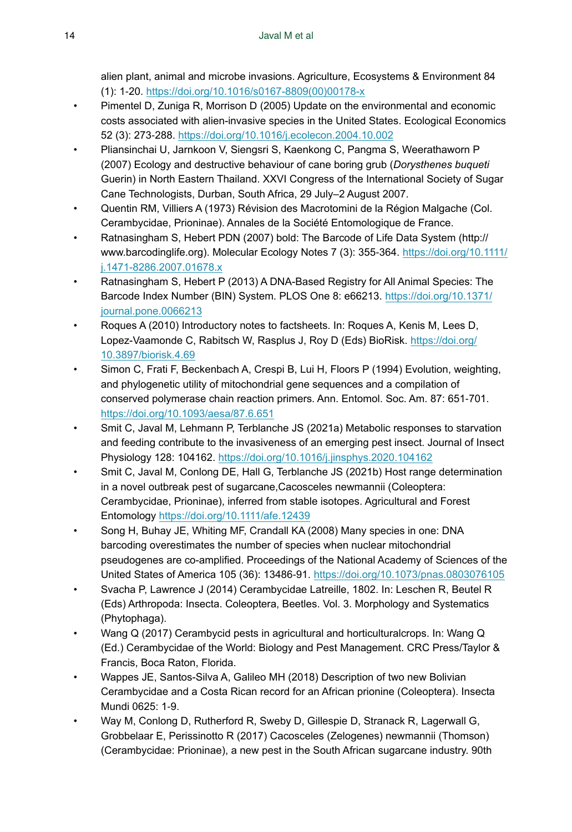alien plant, animal and microbe invasions. Agriculture, Ecosystems & Environment 84 (1): 1‑20. [https://doi.org/10.1016/s0167-8809\(00\)00178-x](https://doi.org/10.1016/s0167-8809(00)00178-x)

- Pimentel D, Zuniga R, Morrison D (2005) Update on the environmental and economic costs associated with alien-invasive species in the United States. Ecological Economics 52 (3): 273‑288. <https://doi.org/10.1016/j.ecolecon.2004.10.002>
- Pliansinchai U, Jarnkoon V, Siengsri S, Kaenkong C, Pangma S, Weerathaworn P (2007) Ecology and destructive behaviour of cane boring grub (*Dorysthenes buqueti* Guerin) in North Eastern Thailand. XXVI Congress of the International Society of Sugar Cane Technologists, Durban, South Africa, 29 July–2 August 2007.
- Quentin RM, Villiers A (1973) Révision des Macrotomini de la Région Malgache (Col. Cerambycidae, Prioninae). Annales de la Société Entomologique de France.
- Ratnasingham S, Hebert PDN (2007) bold: The Barcode of Life Data System (http:// www.barcodinglife.org). Molecular Ecology Notes 7 (3): 355‑364. [https://doi.org/10.1111/](https://doi.org/10.1111/j.1471-8286.2007.01678.x) [j.1471-8286.2007.01678.x](https://doi.org/10.1111/j.1471-8286.2007.01678.x)
- Ratnasingham S, Hebert P (2013) A DNA-Based Registry for All Animal Species: The Barcode Index Number (BIN) System. PLOS One 8: e66213. [https://doi.org/10.1371/](https://doi.org/10.1371/journal.pone.0066213) [journal.pone.0066213](https://doi.org/10.1371/journal.pone.0066213)
- Roques A (2010) Introductory notes to factsheets. In: Roques A, Kenis M, Lees D, Lopez-Vaamonde C, Rabitsch W, Rasplus J, Roy D (Eds) BioRisk. [https://doi.org/](https://doi.org/10.3897/biorisk.4.69) [10.3897/biorisk.4.69](https://doi.org/10.3897/biorisk.4.69)
- Simon C, Frati F, Beckenbach A, Crespi B, Lui H, Floors P (1994) Evolution, weighting, and phylogenetic utility of mitochondrial gene sequences and a compilation of conserved polymerase chain reaction primers. Ann. Entomol. Soc. Am. 87: 651‑701. <https://doi.org/10.1093/aesa/87.6.651>
- Smit C, Javal M, Lehmann P, Terblanche JS (2021a) Metabolic responses to starvation and feeding contribute to the invasiveness of an emerging pest insect. Journal of Insect Physiology 128: 104162.<https://doi.org/10.1016/j.jinsphys.2020.104162>
- Smit C, Javal M, Conlong DE, Hall G, Terblanche JS (2021b) Host range determination in a novel outbreak pest of sugarcane,Cacosceles newmannii (Coleoptera: Cerambycidae, Prioninae), inferred from stable isotopes. Agricultural and Forest Entomology <https://doi.org/10.1111/afe.12439>
- Song H, Buhay JE, Whiting MF, Crandall KA (2008) Many species in one: DNA barcoding overestimates the number of species when nuclear mitochondrial pseudogenes are co-amplified. Proceedings of the National Academy of Sciences of the United States of America 105 (36): 13486‑91.<https://doi.org/10.1073/pnas.0803076105>
- Svacha P, Lawrence J (2014) Cerambycidae Latreille, 1802. In: Leschen R, Beutel R (Eds) Arthropoda: Insecta. Coleoptera, Beetles. Vol. 3. Morphology and Systematics (Phytophaga).
- Wang Q (2017) Cerambycid pests in agricultural and horticulturalcrops. In: Wang Q (Ed.) Cerambycidae of the World: Biology and Pest Management. CRC Press/Taylor & Francis, Boca Raton, Florida.
- Wappes JE, Santos-Silva A, Galileo MH (2018) Description of two new Bolivian Cerambycidae and a Costa Rican record for an African prionine (Coleoptera). Insecta Mundi 0625: 1‑9.
- Way M, Conlong D, Rutherford R, Sweby D, Gillespie D, Stranack R, Lagerwall G, Grobbelaar E, Perissinotto R (2017) Cacosceles (Zelogenes) newmannii (Thomson) (Cerambycidae: Prioninae), a new pest in the South African sugarcane industry. 90th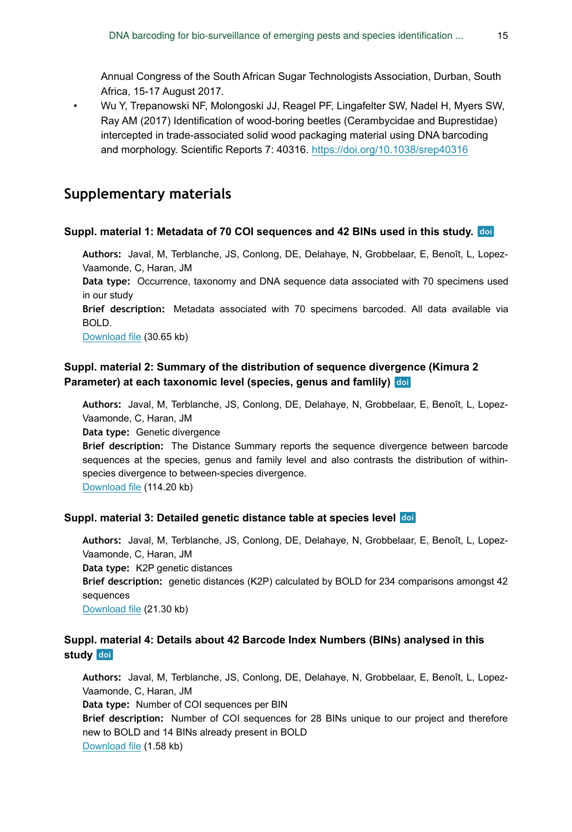Annual Congress of the South African Sugar Technologists Association, Durban, South Africa, 15-17 August 2017.

• Wu Y, Trepanowski NF, Molongoski JJ, Reagel PF, Lingafelter SW, Nadel H, Myers SW, Ray AM (2017) Identification of wood-boring beetles (Cerambycidae and Buprestidae) intercepted in trade-associated solid wood packaging material using DNA barcoding and morphology. Scientific Reports 7: 40316. <https://doi.org/10.1038/srep40316>

### **Supplementary materials**

#### **Suppl. material 1: Metadata of 70 COI sequences and 42 BINs used in this study.**

**Authors:** Javal, M, Terblanche, JS, Conlong, DE, Delahaye, N, Grobbelaar, E, Benoît, L, Lopez-Vaamonde, C, Haran, JM

**Data type:** Occurrence, taxonomy and DNA sequence data associated with 70 specimens used in our study

**Brief description:** Metadata associated with 70 specimens barcoded. All data available via BOLD.

[Download file](https://arpha.pensoft.net/getfile.php?filename=oo_529525.xlsx) (30.65 kb)

### **Suppl. material 2: Summary of the distribution of sequence divergence (Kimura 2 Parameter) at each taxonomic level (species, genus and famlily)**

**Authors:** Javal, M, Terblanche, JS, Conlong, DE, Delahaye, N, Grobbelaar, E, Benoît, L, Lopez-Vaamonde, C, Haran, JM

**Data type:** Genetic divergence

**Brief description:** The Distance Summary reports the sequence divergence between barcode sequences at the species, genus and family level and also contrasts the distribution of withinspecies divergence to between-species divergence.

[Download file](https://arpha.pensoft.net/getfile.php?filename=oo_509980.pdf) (114.20 kb)

#### **Suppl. material 3: Detailed genetic distance table at species level**

**Authors:** Javal, M, Terblanche, JS, Conlong, DE, Delahaye, N, Grobbelaar, E, Benoît, L, Lopez-Vaamonde, C, Haran, JM **Data type:** K2P genetic distances **Brief description:** genetic distances (K2P) calculated by BOLD for 234 comparisons amongst 42 sequences [Download file](https://arpha.pensoft.net/getfile.php?filename=oo_509899.xls) (21.30 kb)

### **Suppl. material 4: Details about 42 Barcode Index Numbers (BINs) analysed in this** study doi

**Authors:** Javal, M, Terblanche, JS, Conlong, DE, Delahaye, N, Grobbelaar, E, Benoît, L, Lopez-Vaamonde, C, Haran, JM **Data type:** Number of COI sequences per BIN **Brief description:** Number of COI sequences for 28 BINs unique to our project and therefore new to BOLD and 14 BINs already present in BOLD [Download file](https://arpha.pensoft.net/getfile.php?filename=oo_529526.xls) (1.58 kb)